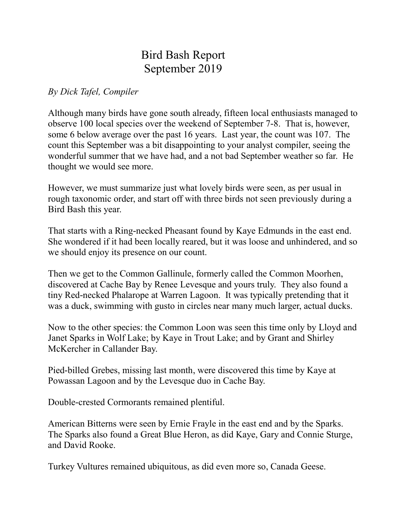## Bird Bash Report September 2019

## *By Dick Tafel, Compiler*

Although many birds have gone south already, fifteen local enthusiasts managed to observe 100 local species over the weekend of September 7-8. That is, however, some 6 below average over the past 16 years. Last year, the count was 107. The count this September was a bit disappointing to your analyst compiler, seeing the wonderful summer that we have had, and a not bad September weather so far. He thought we would see more.

However, we must summarize just what lovely birds were seen, as per usual in rough taxonomic order, and start off with three birds not seen previously during a Bird Bash this year.

That starts with a Ring-necked Pheasant found by Kaye Edmunds in the east end. She wondered if it had been locally reared, but it was loose and unhindered, and so we should enjoy its presence on our count.

Then we get to the Common Gallinule, formerly called the Common Moorhen, discovered at Cache Bay by Renee Levesque and yours truly. They also found a tiny Red-necked Phalarope at Warren Lagoon. It was typically pretending that it was a duck, swimming with gusto in circles near many much larger, actual ducks.

Now to the other species: the Common Loon was seen this time only by Lloyd and Janet Sparks in Wolf Lake; by Kaye in Trout Lake; and by Grant and Shirley McKercher in Callander Bay.

Pied-billed Grebes, missing last month, were discovered this time by Kaye at Powassan Lagoon and by the Levesque duo in Cache Bay.

Double-crested Cormorants remained plentiful.

American Bitterns were seen by Ernie Frayle in the east end and by the Sparks. The Sparks also found a Great Blue Heron, as did Kaye, Gary and Connie Sturge, and David Rooke.

Turkey Vultures remained ubiquitous, as did even more so, Canada Geese.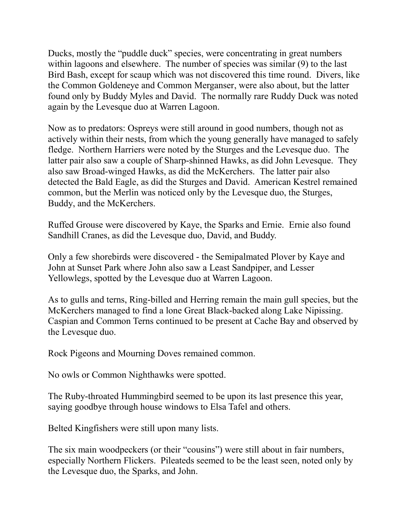Ducks, mostly the "puddle duck" species, were concentrating in great numbers within lagoons and elsewhere. The number of species was similar (9) to the last Bird Bash, except for scaup which was not discovered this time round. Divers, like the Common Goldeneye and Common Merganser, were also about, but the latter found only by Buddy Myles and David. The normally rare Ruddy Duck was noted again by the Levesque duo at Warren Lagoon.

Now as to predators: Ospreys were still around in good numbers, though not as actively within their nests, from which the young generally have managed to safely fledge. Northern Harriers were noted by the Sturges and the Levesque duo. The latter pair also saw a couple of Sharp-shinned Hawks, as did John Levesque. They also saw Broad-winged Hawks, as did the McKerchers. The latter pair also detected the Bald Eagle, as did the Sturges and David. American Kestrel remained common, but the Merlin was noticed only by the Levesque duo, the Sturges, Buddy, and the McKerchers.

Ruffed Grouse were discovered by Kaye, the Sparks and Ernie. Ernie also found Sandhill Cranes, as did the Levesque duo, David, and Buddy.

Only a few shorebirds were discovered - the Semipalmated Plover by Kaye and John at Sunset Park where John also saw a Least Sandpiper, and Lesser Yellowlegs, spotted by the Levesque duo at Warren Lagoon.

As to gulls and terns, Ring-billed and Herring remain the main gull species, but the McKerchers managed to find a lone Great Black-backed along Lake Nipissing. Caspian and Common Terns continued to be present at Cache Bay and observed by the Levesque duo.

Rock Pigeons and Mourning Doves remained common.

No owls or Common Nighthawks were spotted.

The Ruby-throated Hummingbird seemed to be upon its last presence this year, saying goodbye through house windows to Elsa Tafel and others.

Belted Kingfishers were still upon many lists.

The six main woodpeckers (or their "cousins") were still about in fair numbers, especially Northern Flickers. Pileateds seemed to be the least seen, noted only by the Levesque duo, the Sparks, and John.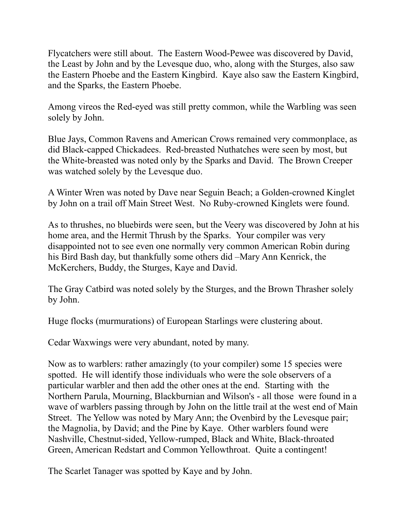Flycatchers were still about. The Eastern Wood-Pewee was discovered by David, the Least by John and by the Levesque duo, who, along with the Sturges, also saw the Eastern Phoebe and the Eastern Kingbird. Kaye also saw the Eastern Kingbird, and the Sparks, the Eastern Phoebe.

Among vireos the Red-eyed was still pretty common, while the Warbling was seen solely by John.

Blue Jays, Common Ravens and American Crows remained very commonplace, as did Black-capped Chickadees. Red-breasted Nuthatches were seen by most, but the White-breasted was noted only by the Sparks and David. The Brown Creeper was watched solely by the Levesque duo.

A Winter Wren was noted by Dave near Seguin Beach; a Golden-crowned Kinglet by John on a trail off Main Street West. No Ruby-crowned Kinglets were found.

As to thrushes, no bluebirds were seen, but the Veery was discovered by John at his home area, and the Hermit Thrush by the Sparks. Your compiler was very disappointed not to see even one normally very common American Robin during his Bird Bash day, but thankfully some others did –Mary Ann Kenrick, the McKerchers, Buddy, the Sturges, Kaye and David.

The Gray Catbird was noted solely by the Sturges, and the Brown Thrasher solely by John.

Huge flocks (murmurations) of European Starlings were clustering about.

Cedar Waxwings were very abundant, noted by many.

Now as to warblers: rather amazingly (to your compiler) some 15 species were spotted. He will identify those individuals who were the sole observers of a particular warbler and then add the other ones at the end. Starting with the Northern Parula, Mourning, Blackburnian and Wilson's - all those were found in a wave of warblers passing through by John on the little trail at the west end of Main Street. The Yellow was noted by Mary Ann; the Ovenbird by the Levesque pair; the Magnolia, by David; and the Pine by Kaye. Other warblers found were Nashville, Chestnut-sided, Yellow-rumped, Black and White, Black-throated Green, American Redstart and Common Yellowthroat. Quite a contingent!

The Scarlet Tanager was spotted by Kaye and by John.